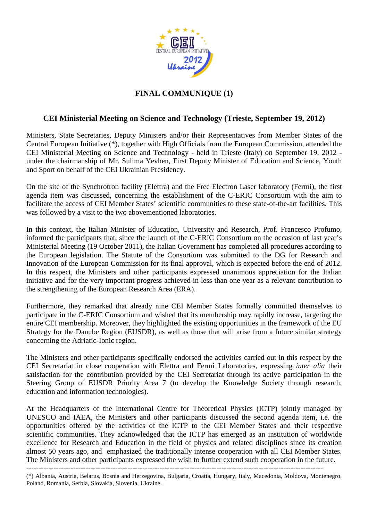

## **FINAL COMMUNIQUE (1)**

## **CEI Ministerial Meeting on Science and Technology (Trieste, September 19, 2012)**

Ministers, State Secretaries, Deputy Ministers and/or their Representatives from Member States of the Central European Initiative (\*), together with High Officials from the European Commission, attended the CEI Ministerial Meeting on Science and Technology - held in Trieste (Italy) on September 19, 2012 under the chairmanship of Mr. Sulima Yevhen, First Deputy Minister of Education and Science, Youth and Sport on behalf of the CEI Ukrainian Presidency.

On the site of the Synchrotron facility (Elettra) and the Free Electron Laser laboratory (Fermi), the first agenda item was discussed, concerning the establishment of the C-ERIC Consortium with the aim to facilitate the access of CEI Member States' scientific communities to these state-of-the-art facilities. This was followed by a visit to the two abovementioned laboratories.

In this context, the Italian Minister of Education, University and Research, Prof. Francesco Profumo, informed the participants that, since the launch of the C-ERIC Consortium on the occasion of last year's Ministerial Meeting (19 October 2011), the Italian Government has completed all procedures according to the European legislation. The Statute of the Consortium was submitted to the DG for Research and Innovation of the European Commission for its final approval, which is expected before the end of 2012. In this respect, the Ministers and other participants expressed unanimous appreciation for the Italian initiative and for the very important progress achieved in less than one year as a relevant contribution to the strengthening of the European Research Area (ERA).

Furthermore, they remarked that already nine CEI Member States formally committed themselves to participate in the C-ERIC Consortium and wished that its membership may rapidly increase, targeting the entire CEI membership. Moreover, they highlighted the existing opportunities in the framework of the EU Strategy for the Danube Region (EUSDR), as well as those that will arise from a future similar strategy concerning the Adriatic-Ionic region.

The Ministers and other participants specifically endorsed the activities carried out in this respect by the CEI Secretariat in close cooperation with Elettra and Fermi Laboratories, expressing *inter alia* their satisfaction for the contribution provided by the CEI Secretariat through its active participation in the Steering Group of EUSDR Priority Area 7 (to develop the Knowledge Society through research, education and information technologies).

At the Headquarters of the International Centre for Theoretical Physics (ICTP) jointly managed by UNESCO and IAEA, the Ministers and other participants discussed the second agenda item, i.e. the opportunities offered by the activities of the ICTP to the CEI Member States and their respective scientific communities. They acknowledged that the ICTP has emerged as an institution of worldwide excellence for Research and Education in the field of physics and related disciplines since its creation almost 50 years ago, and emphasized the traditionally intense cooperation with all CEI Member States. The Ministers and other participants expressed the wish to further extend such cooperation in the future.

------------------------------------------------------------------------------------------------------------------------ (\*) Albania, Austria, Belarus, Bosnia and Herzegovina, Bulgaria, Croatia, Hungary, Italy, Macedonia, Moldova, Montenegro, Poland, Romania, Serbia, Slovakia, Slovenia, Ukraine.